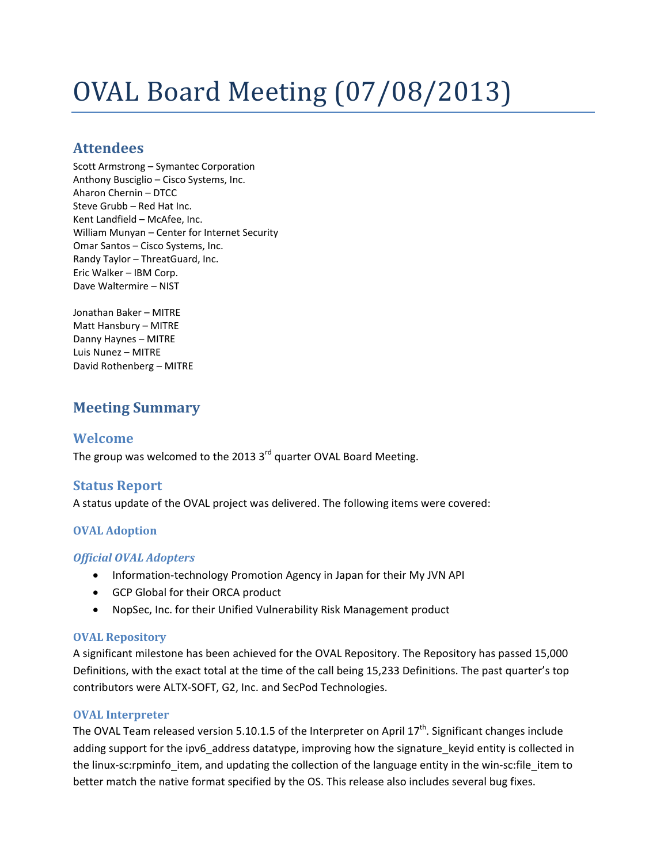# OVAL Board Meeting (07/08/2013)

# **Attendees**

Scott Armstrong – Symantec Corporation Anthony Busciglio – Cisco Systems, Inc. Aharon Chernin – DTCC Steve Grubb – Red Hat Inc. Kent Landfield – McAfee, Inc. William Munyan – Center for Internet Security Omar Santos – Cisco Systems, Inc. Randy Taylor – ThreatGuard, Inc. Eric Walker – IBM Corp. Dave Waltermire – NIST

Jonathan Baker – MITRE Matt Hansbury – MITRE Danny Haynes – MITRE Luis Nunez – MITRE David Rothenberg – MITRE

# **Meeting Summary**

# **Welcome**

The group was welcomed to the 2013  $3<sup>rd</sup>$  quarter OVAL Board Meeting.

# **Status Report**

A status update of the OVAL project was delivered. The following items were covered:

### **OVAL Adoption**

#### *Official OVAL Adopters*

- Information-technology Promotion Agency in Japan for their My JVN API
- GCP Global for their ORCA product
- NopSec, Inc. for their Unified Vulnerability Risk Management product

#### **OVAL Repository**

A significant milestone has been achieved for the OVAL Repository. The Repository has passed 15,000 Definitions, with the exact total at the time of the call being 15,233 Definitions. The past quarter's top contributors were ALTX-SOFT, G2, Inc. and SecPod Technologies.

#### **OVAL Interpreter**

The OVAL Team released version 5.10.1.5 of the Interpreter on April 17<sup>th</sup>. Significant changes include adding support for the ipv6\_address datatype, improving how the signature\_keyid entity is collected in the linux-sc:rpminfo\_item, and updating the collection of the language entity in the win-sc:file\_item to better match the native format specified by the OS. This release also includes several bug fixes.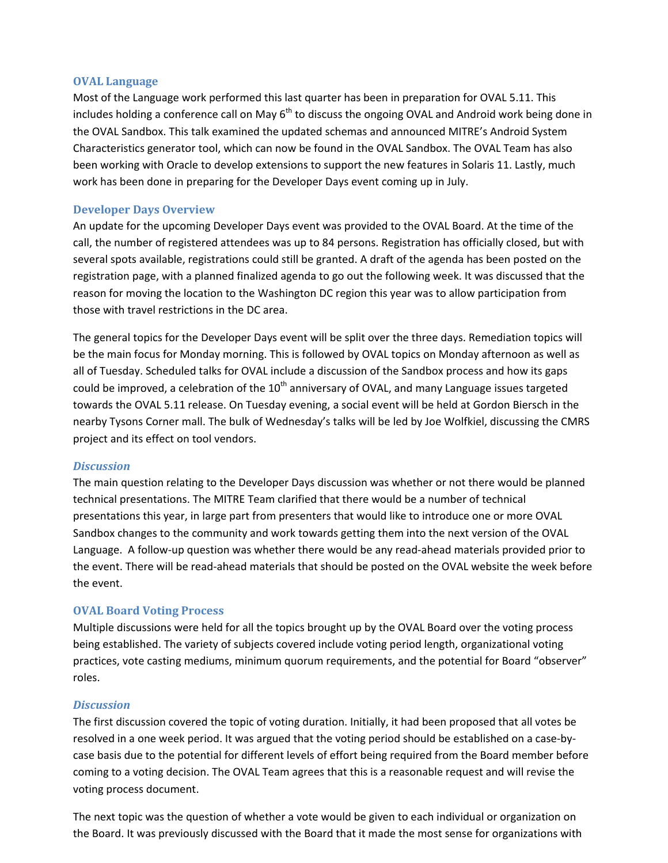#### **OVAL Language**

Most of the Language work performed this last quarter has been in preparation for OVAL 5.11. This includes holding a conference call on May  $6<sup>th</sup>$  to discuss the ongoing OVAL and Android work being done in the OVAL Sandbox. This talk examined the updated schemas and announced MITRE's Android System Characteristics generator tool, which can now be found in the OVAL Sandbox. The OVAL Team has also been working with Oracle to develop extensions to support the new features in Solaris 11. Lastly, much work has been done in preparing for the Developer Days event coming up in July.

#### **Developer Days Overview**

An update for the upcoming Developer Days event was provided to the OVAL Board. At the time of the call, the number of registered attendees was up to 84 persons. Registration has officially closed, but with several spots available, registrations could still be granted. A draft of the agenda has been posted on the registration page, with a planned finalized agenda to go out the following week. It was discussed that the reason for moving the location to the Washington DC region this year was to allow participation from those with travel restrictions in the DC area.

The general topics for the Developer Days event will be split over the three days. Remediation topics will be the main focus for Monday morning. This is followed by OVAL topics on Monday afternoon as well as all of Tuesday. Scheduled talks for OVAL include a discussion of the Sandbox process and how its gaps could be improved, a celebration of the  $10^{th}$  anniversary of OVAL, and many Language issues targeted towards the OVAL 5.11 release. On Tuesday evening, a social event will be held at Gordon Biersch in the nearby Tysons Corner mall. The bulk of Wednesday's talks will be led by Joe Wolfkiel, discussing the CMRS project and its effect on tool vendors.

#### *Discussion*

The main question relating to the Developer Days discussion was whether or not there would be planned technical presentations. The MITRE Team clarified that there would be a number of technical presentations this year, in large part from presenters that would like to introduce one or more OVAL Sandbox changes to the community and work towards getting them into the next version of the OVAL Language. A follow-up question was whether there would be any read-ahead materials provided prior to the event. There will be read-ahead materials that should be posted on the OVAL website the week before the event.

#### **OVAL Board Voting Process**

Multiple discussions were held for all the topics brought up by the OVAL Board over the voting process being established. The variety of subjects covered include voting period length, organizational voting practices, vote casting mediums, minimum quorum requirements, and the potential for Board "observer" roles.

#### *Discussion*

The first discussion covered the topic of voting duration. Initially, it had been proposed that all votes be resolved in a one week period. It was argued that the voting period should be established on a case-bycase basis due to the potential for different levels of effort being required from the Board member before coming to a voting decision. The OVAL Team agrees that this is a reasonable request and will revise the voting process document.

The next topic was the question of whether a vote would be given to each individual or organization on the Board. It was previously discussed with the Board that it made the most sense for organizations with